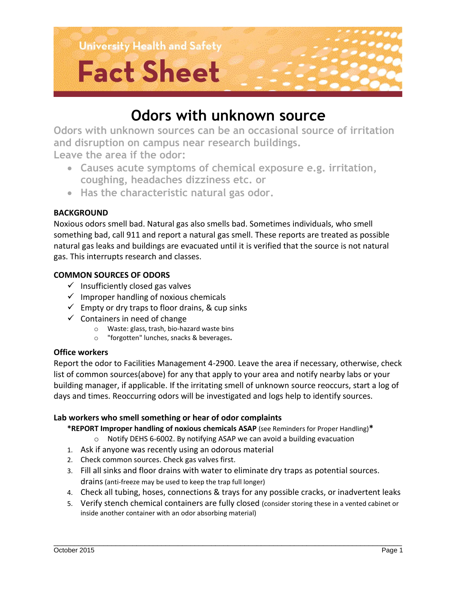

# **Fact Sheet**

# **Odors with unknown source**

**Odors with unknown sources can be an occasional source of irritation and disruption on campus near research buildings. Leave the area if the odor:**

 **Causes acute symptoms of chemical exposure e.g. irritation, coughing, headaches dizziness etc. or**

**Has the characteristic natural gas odor.**

# **BACKGROUND**

Noxious odors smell bad. Natural gas also smells bad. Sometimes individuals, who smell something bad, call 911 and report a natural gas smell. These reports are treated as possible natural gas leaks and buildings are evacuated until it is verified that the source is not natural gas. This interrupts research and classes.

## **COMMON SOURCES OF ODORS**

- $\checkmark$  Insufficiently closed gas valves
- $\checkmark$  Improper handling of noxious chemicals
- $\checkmark$  Empty or dry traps to floor drains, & cup sinks
- $\checkmark$  Containers in need of change
	- o Waste: glass, trash, bio-hazard waste bins
	- o "forgotten" lunches, snacks & beverages**.**

## **Office workers**

Report the odor to Facilities Management 4-2900. Leave the area if necessary, otherwise, check list of common sources(above) for any that apply to your area and notify nearby labs or your building manager, if applicable. If the irritating smell of unknown source reoccurs, start a log of days and times. Reoccurring odors will be investigated and logs help to identify sources.

## **Lab workers who smell something or hear of odor complaints**

- **\*REPORT Improper handling of noxious chemicals ASAP** (see Reminders for Proper Handling)**\***
	- o Notify DEHS 6-6002. By notifying ASAP we can avoid a building evacuation
- 1. Ask if anyone was recently using an odorous material
- 2. Check common sources. Check gas valves first.
- 3. Fill all sinks and floor drains with water to eliminate dry traps as potential sources. drains (anti-freeze may be used to keep the trap full longer)
- 4. Check all tubing, hoses, connections & trays for any possible cracks, or inadvertent leaks
- 5. Verify stench chemical containers are fully closed (consider storing these in a vented cabinet or inside another container with an odor absorbing material)

\_\_\_\_\_\_\_\_\_\_\_\_\_\_\_\_\_\_\_\_\_\_\_\_\_\_\_\_\_\_\_\_\_\_\_\_\_\_\_\_\_\_\_\_\_\_\_\_\_\_\_\_\_\_\_\_\_\_\_\_\_\_\_\_\_\_\_\_\_\_\_\_\_\_\_\_\_\_\_\_\_\_\_\_